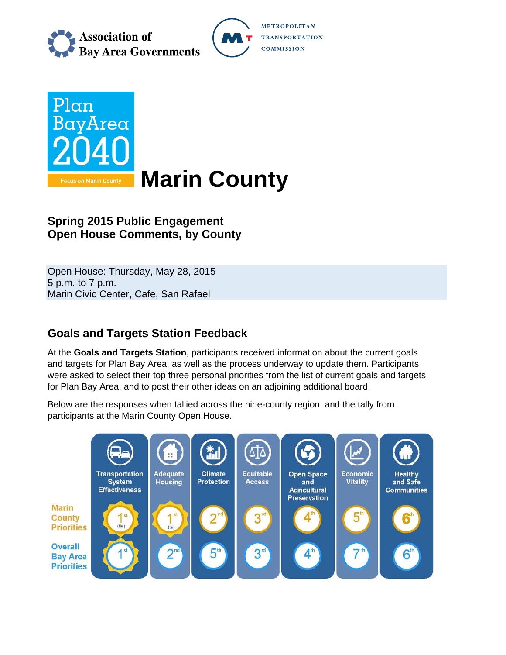

**METROPOLITAN TRANSPORTATION COMMISSION** 



## **Spring 2015 Public Engagement Open House Comments, by County**

Open House: Thursday, May 28, 2015 5 p.m. to 7 p.m. Marin Civic Center, Cafe, San Rafael

# **Goals and Targets Station Feedback**

At the **Goals and Targets Station**, participants received information about the current goals and targets for Plan Bay Area, as well as the process underway to update them. Participants were asked to select their top three personal priorities from the list of current goals and targets for Plan Bay Area, and to post their other ideas on an adjoining additional board.

Below are the responses when tallied across the nine-county region, and the tally from participants at the Marin County Open House.

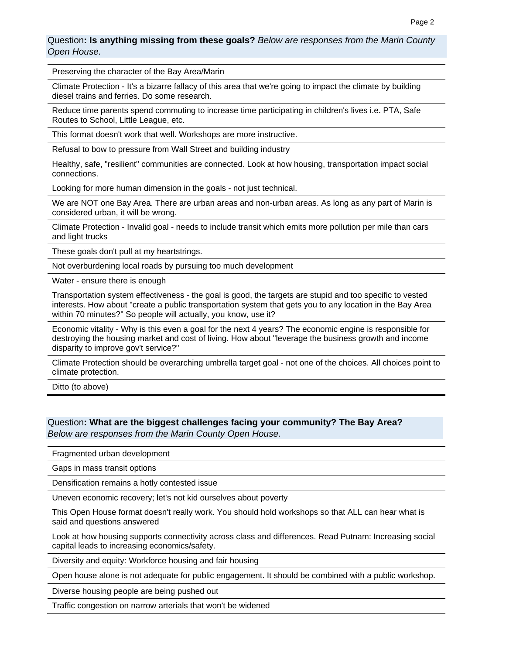### Question**: Is anything missing from these goals?** *Below are responses from the Marin County Open House.*

Preserving the character of the Bay Area/Marin

Climate Protection - It's a bizarre fallacy of this area that we're going to impact the climate by building diesel trains and ferries. Do some research.

Reduce time parents spend commuting to increase time participating in children's lives i.e. PTA, Safe Routes to School, Little League, etc.

This format doesn't work that well. Workshops are more instructive.

Refusal to bow to pressure from Wall Street and building industry

Healthy, safe, "resilient" communities are connected. Look at how housing, transportation impact social connections.

Looking for more human dimension in the goals - not just technical.

We are NOT one Bay Area. There are urban areas and non-urban areas. As long as any part of Marin is considered urban, it will be wrong.

Climate Protection - Invalid goal - needs to include transit which emits more pollution per mile than cars and light trucks

These goals don't pull at my heartstrings.

Not overburdening local roads by pursuing too much development

Water - ensure there is enough

Transportation system effectiveness - the goal is good, the targets are stupid and too specific to vested interests. How about "create a public transportation system that gets you to any location in the Bay Area within 70 minutes?" So people will actually, you know, use it?

Economic vitality - Why is this even a goal for the next 4 years? The economic engine is responsible for destroying the housing market and cost of living. How about "leverage the business growth and income disparity to improve gov't service?"

Climate Protection should be overarching umbrella target goal - not one of the choices. All choices point to climate protection.

Ditto (to above)

#### Question**: What are the biggest challenges facing your community? The Bay Area?**  *Below are responses from the Marin County Open House.*

Fragmented urban development

Gaps in mass transit options

Densification remains a hotly contested issue

Uneven economic recovery; let's not kid ourselves about poverty

This Open House format doesn't really work. You should hold workshops so that ALL can hear what is said and questions answered

Look at how housing supports connectivity across class and differences. Read Putnam: Increasing social capital leads to increasing economics/safety.

Diversity and equity: Workforce housing and fair housing

Open house alone is not adequate for public engagement. It should be combined with a public workshop.

Diverse housing people are being pushed out

Traffic congestion on narrow arterials that won't be widened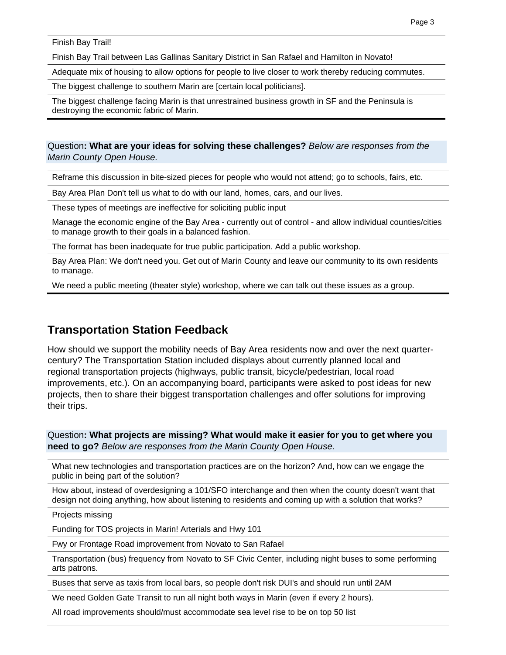Finish Bay Trail!

Finish Bay Trail between Las Gallinas Sanitary District in San Rafael and Hamilton in Novato!

Adequate mix of housing to allow options for people to live closer to work thereby reducing commutes.

The biggest challenge to southern Marin are [certain local politicians].

The biggest challenge facing Marin is that unrestrained business growth in SF and the Peninsula is destroying the economic fabric of Marin.

### Question**: What are your ideas for solving these challenges?** *Below are responses from the Marin County Open House.*

Reframe this discussion in bite-sized pieces for people who would not attend; go to schools, fairs, etc.

Bay Area Plan Don't tell us what to do with our land, homes, cars, and our lives.

These types of meetings are ineffective for soliciting public input

Manage the economic engine of the Bay Area - currently out of control - and allow individual counties/cities to manage growth to their goals in a balanced fashion.

The format has been inadequate for true public participation. Add a public workshop.

Bay Area Plan: We don't need you. Get out of Marin County and leave our community to its own residents to manage.

We need a public meeting (theater style) workshop, where we can talk out these issues as a group.

### **Transportation Station Feedback**

How should we support the mobility needs of Bay Area residents now and over the next quartercentury? The Transportation Station included displays about currently planned local and regional transportation projects (highways, public transit, bicycle/pedestrian, local road improvements, etc.). On an accompanying board, participants were asked to post ideas for new projects, then to share their biggest transportation challenges and offer solutions for improving their trips.

### Question**: What projects are missing? What would make it easier for you to get where you need to go?** *Below are responses from the Marin County Open House.*

What new technologies and transportation practices are on the horizon? And, how can we engage the public in being part of the solution?

How about, instead of overdesigning a 101/SFO interchange and then when the county doesn't want that design not doing anything, how about listening to residents and coming up with a solution that works?

Projects missing

Funding for TOS projects in Marin! Arterials and Hwy 101

Fwy or Frontage Road improvement from Novato to San Rafael

Transportation (bus) frequency from Novato to SF Civic Center, including night buses to some performing arts patrons.

Buses that serve as taxis from local bars, so people don't risk DUI's and should run until 2AM

We need Golden Gate Transit to run all night both ways in Marin (even if every 2 hours).

All road improvements should/must accommodate sea level rise to be on top 50 list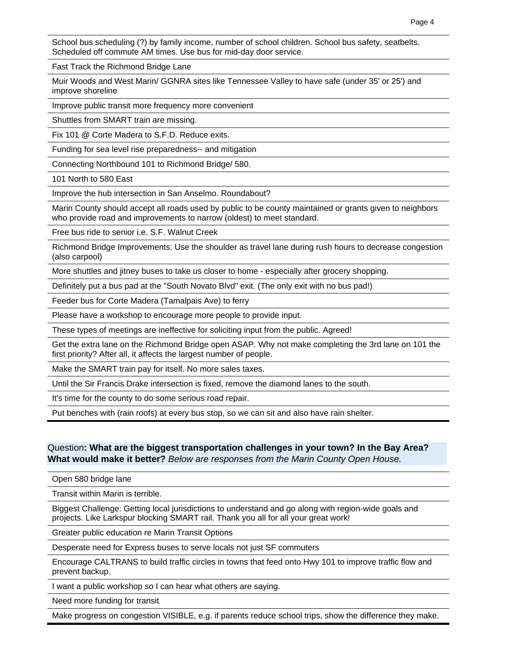School bus scheduling (?) by family income, number of school children. School bus safety, seatbelts. Scheduled off commute AM times. Use bus for mid-day door service.

Fast Track the Richmond Bridge Lane

Muir Woods and West Marin/ GGNRA sites like Tennessee Valley to have safe (under 35' or 25') and improve shoreline

Improve public transit more frequency more convenient

Shuttles from SMART train are missing.

Fix 101 @ Corte Madera to S.F.D. Reduce exits.

Funding for sea level rise preparedness-- and mitigation

Connecting Northbound 101 to Richmond Bridge/ 580.

101 North to 580 East

Improve the hub intersection in San Anselmo. Roundabout?

Marin County should accept all roads used by public to be county maintained or grants given to neighbors who provide road and improvements to narrow (oldest) to meet standard.

Free bus ride to senior i.e. S.F. Walnut Creek

Richmond Bridge Improvements: Use the shoulder as travel lane during rush hours to decrease congestion (also carpool)

More shuttles and jitney buses to take us closer to home - especially after grocery shopping.

Definitely put a bus pad at the "South Novato Blvd" exit. (The only exit with no bus pad!)

Feeder bus for Corte Madera (Tamalpais Ave) to ferry

Please have a workshop to encourage more people to provide input.

These types of meetings are ineffective for soliciting input from the public. Agreed!

Get the extra lane on the Richmond Bridge open ASAP. Why not make completing the 3rd lane on 101 the first priority? After all, it affects the largest number of people.

Make the SMART train pay for itself. No more sales taxes.

Until the Sir Francis Drake intersection is fixed, remove the diamond lanes to the south.

It's time for the county to do some serious road repair.

Put benches with (rain roofs) at every bus stop, so we can sit and also have rain shelter.

### Question**: What are the biggest transportation challenges in your town? In the Bay Area? What would make it better?** *Below are responses from the Marin County Open House.*

Open 580 bridge lane

Transit within Marin is terrible.

Biggest Challenge: Getting local jurisdictions to understand and go along with region-wide goals and projects. Like Larkspur blocking SMART rail. Thank you all for all your great work!

Greater public education re Marin Transit Options

Desperate need for Express buses to serve locals not just SF commuters

Encourage CALTRANS to build traffic circles in towns that feed onto Hwy 101 to improve traffic flow and prevent backup.

I want a public workshop so I can hear what others are saying.

Need more funding for transit

Make progress on congestion VISIBLE, e.g. if parents reduce school trips, show the difference they make.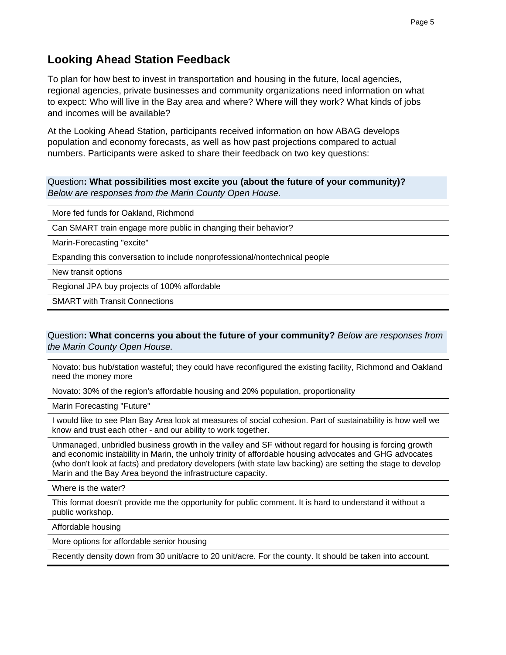## **Looking Ahead Station Feedback**

To plan for how best to invest in transportation and housing in the future, local agencies, regional agencies, private businesses and community organizations need information on what to expect: Who will live in the Bay area and where? Where will they work? What kinds of jobs and incomes will be available?

At the Looking Ahead Station, participants received information on how ABAG develops population and economy forecasts, as well as how past projections compared to actual numbers. Participants were asked to share their feedback on two key questions:

Question**: What possibilities most excite you (about the future of your community)?**  *Below are responses from the Marin County Open House.*

More fed funds for Oakland, Richmond

Can SMART train engage more public in changing their behavior?

Marin-Forecasting "excite"

Expanding this conversation to include nonprofessional/nontechnical people

New transit options

Regional JPA buy projects of 100% affordable

SMART with Transit Connections

Question**: What concerns you about the future of your community?** *Below are responses from the Marin County Open House.*

Novato: bus hub/station wasteful; they could have reconfigured the existing facility, Richmond and Oakland need the money more

Novato: 30% of the region's affordable housing and 20% population, proportionality

Marin Forecasting "Future"

I would like to see Plan Bay Area look at measures of social cohesion. Part of sustainability is how well we know and trust each other - and our ability to work together.

Unmanaged, unbridled business growth in the valley and SF without regard for housing is forcing growth and economic instability in Marin, the unholy trinity of affordable housing advocates and GHG advocates (who don't look at facts) and predatory developers (with state law backing) are setting the stage to develop Marin and the Bay Area beyond the infrastructure capacity.

Where is the water?

This format doesn't provide me the opportunity for public comment. It is hard to understand it without a public workshop.

Affordable housing

More options for affordable senior housing

Recently density down from 30 unit/acre to 20 unit/acre. For the county. It should be taken into account.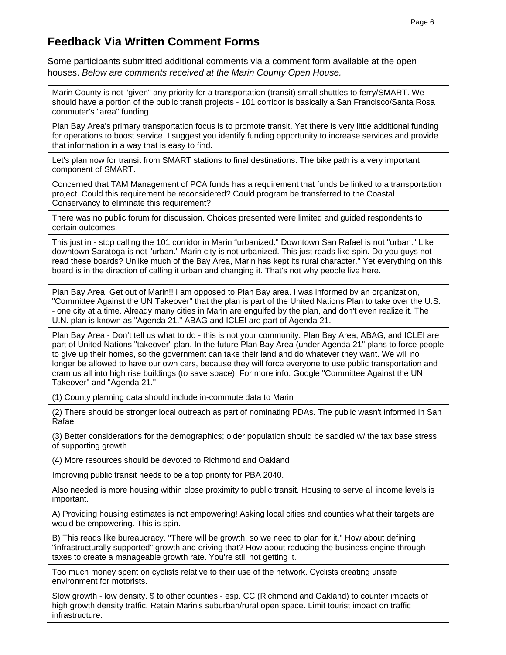# **Feedback Via Written Comment Forms**

Some participants submitted additional comments via a comment form available at the open houses. *Below are comments received at the Marin County Open House.*

Marin County is not "given" any priority for a transportation (transit) small shuttles to ferry/SMART. We should have a portion of the public transit projects - 101 corridor is basically a San Francisco/Santa Rosa commuter's "area" funding

Plan Bay Area's primary transportation focus is to promote transit. Yet there is very little additional funding for operations to boost service. I suggest you identify funding opportunity to increase services and provide that information in a way that is easy to find.

Let's plan now for transit from SMART stations to final destinations. The bike path is a very important component of SMART.

Concerned that TAM Management of PCA funds has a requirement that funds be linked to a transportation project. Could this requirement be reconsidered? Could program be transferred to the Coastal Conservancy to eliminate this requirement?

There was no public forum for discussion. Choices presented were limited and guided respondents to certain outcomes.

This just in - stop calling the 101 corridor in Marin "urbanized." Downtown San Rafael is not "urban." Like downtown Saratoga is not "urban." Marin city is not urbanized. This just reads like spin. Do you guys not read these boards? Unlike much of the Bay Area, Marin has kept its rural character." Yet everything on this board is in the direction of calling it urban and changing it. That's not why people live here.

Plan Bay Area: Get out of Marin!! I am opposed to Plan Bay area. I was informed by an organization, "Committee Against the UN Takeover" that the plan is part of the United Nations Plan to take over the U.S. - one city at a time. Already many cities in Marin are engulfed by the plan, and don't even realize it. The U.N. plan is known as "Agenda 21." ABAG and ICLEI are part of Agenda 21.

Plan Bay Area - Don't tell us what to do - this is not your community. Plan Bay Area, ABAG, and ICLEI are part of United Nations "takeover" plan. In the future Plan Bay Area (under Agenda 21" plans to force people to give up their homes, so the government can take their land and do whatever they want. We will no longer be allowed to have our own cars, because they will force everyone to use public transportation and cram us all into high rise buildings (to save space). For more info: Google "Committee Against the UN Takeover" and "Agenda 21."

(1) County planning data should include in-commute data to Marin

(2) There should be stronger local outreach as part of nominating PDAs. The public wasn't informed in San Rafael

(3) Better considerations for the demographics; older population should be saddled w/ the tax base stress of supporting growth

(4) More resources should be devoted to Richmond and Oakland

Improving public transit needs to be a top priority for PBA 2040.

Also needed is more housing within close proximity to public transit. Housing to serve all income levels is important.

A) Providing housing estimates is not empowering! Asking local cities and counties what their targets are would be empowering. This is spin.

B) This reads like bureaucracy. "There will be growth, so we need to plan for it." How about defining "infrastructurally supported" growth and driving that? How about reducing the business engine through taxes to create a manageable growth rate. You're still not getting it.

Too much money spent on cyclists relative to their use of the network. Cyclists creating unsafe environment for motorists.

Slow growth - low density. \$ to other counties - esp. CC (Richmond and Oakland) to counter impacts of high growth density traffic. Retain Marin's suburban/rural open space. Limit tourist impact on traffic infrastructure.